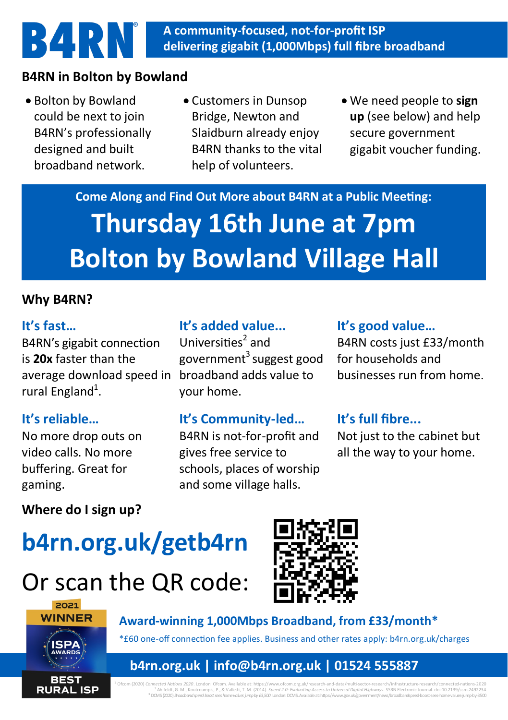#### **A community-focused, not-for-profit ISP delivering gigabit (1,000Mbps) full fibre broadband**

# **B4RN in Bolton by Bowland**

• Bolton by Bowland could be next to join B4RN's professionally designed and built broadband network.

**B4RN** 

- Customers in Dunsop Bridge, Newton and Slaidburn already enjoy B4RN thanks to the vital help of volunteers.
- We need people to **sign up** (see below) and help secure government gigabit voucher funding.

**Come Along and Find Out More about B4RN at a Public Meeting: Thursday 16th June at 7pm Bolton by Bowland Village Hall**

#### **Why B4RN?**

#### **It's fast…**

B4RN's gigabit connection is **20x** faster than the average download speed in broadband adds value to rural England<sup>1</sup>.

## **It's reliable…**

No more drop outs on video calls. No more buffering. Great for gaming.

#### **It's added value...**

Universities<sup>2</sup> and  $g$ overnment $3$ suggest good your home.

## **It's Community-led…**

B4RN is not-for-profit and gives free service to schools, places of worship and some village halls.

#### **It's good value…**

B4RN costs just £33/month for households and businesses run from home.

## **It's full fibre...**

Not just to the cabinet but all the way to your home.

## **Where do I sign up?**

# **b4rn.org.uk/getb4rn**

# Or scan the QR code:





**Award-winning 1,000Mbps Broadband, from £33/month\*** \*£60 one-off connection fee applies. Business and other rates apply: b4rn.org.uk/charges

# **b4rn.org.uk | info@b4rn.org.uk | 01524 555887**

<sup>1</sup> Ofcom (2020) *Connected Nations 2020*. London: Ofcom. Available at: https://www.ofcom.org.uk/research-and-data/multi-sector-research/infrastructure-research/connected-nations-2020 <sup>2</sup>Ahlfeldt, G. M., Koutroumpis, P., & Valletti, T. M. (2014). *Speed 2.0: Evaluating Access to Universal Digital Highways.* SSRN Electronic Journal. doi:10.2139/ssrn.2492234 <sup>3</sup> DCMS (2020) *Broadband speed boost sees home values jump by £3,500*. London: DCMS. Available at: https://www.gov.uk/government/news/broadbandspeed-boost-sees-home-values-jump-by-3500